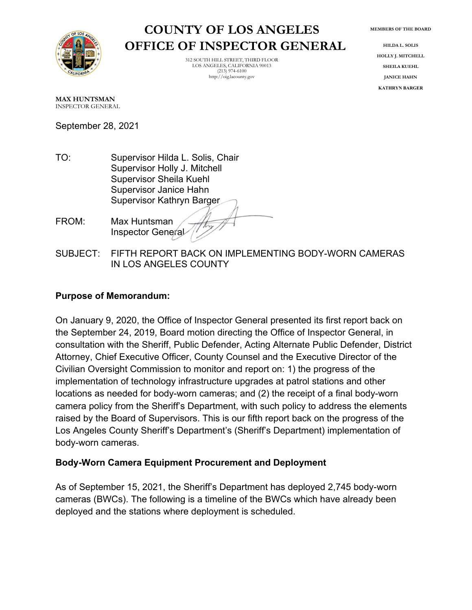# **COUNTY OF LOS ANGELES OFFICE OF INSPECTOR GENERAL**

312 SOUTH HILL STREET, THIRD FLOOR LOS ANGELES, CALIFORNIA 90013 (213) 974-6100 http://oig.lacounty.gov

**MEMBERS OF THE BOARD**

**HILDA L. SOLIS HOLLY J. MITCHELL SHEILA KUEHL JANICE HAHN KATHRYN BARGER**

**MAX HUNTSMAN** INSPECTOR GENERAL

September 28, 2021

- TO: Supervisor Hilda L. Solis, Chair Supervisor Holly J. Mitchell Supervisor Sheila Kuehl Supervisor Janice Hahn Supervisor Kathryn Barger
- FROM: Max Huntsman Inspector General
- SUBJECT: FIFTH REPORT BACK ON IMPLEMENTING BODY-WORN CAMERAS IN LOS ANGELES COUNTY

## **Purpose of Memorandum:**

On January 9, 2020, the Office of Inspector General presented its first report back on the September 24, 2019, Board motion directing the Office of Inspector General, in consultation with the Sheriff, Public Defender, Acting Alternate Public Defender, District Attorney, Chief Executive Officer, County Counsel and the Executive Director of the Civilian Oversight Commission to monitor and report on: 1) the progress of the implementation of technology infrastructure upgrades at patrol stations and other locations as needed for body-worn cameras; and (2) the receipt of a final body-worn camera policy from the Sheriff's Department, with such policy to address the elements raised by the Board of Supervisors. This is our fifth report back on the progress of the Los Angeles County Sheriff's Department's (Sheriff's Department) implementation of body-worn cameras.

## **Body-Worn Camera Equipment Procurement and Deployment**

As of September 15, 2021, the Sheriff's Department has deployed 2,745 body-worn cameras (BWCs). The following is a timeline of the BWCs which have already been deployed and the stations where deployment is scheduled.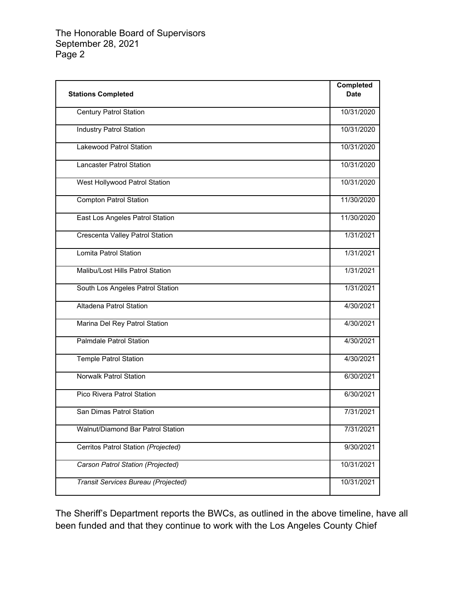|                                        | Completed   |
|----------------------------------------|-------------|
| <b>Stations Completed</b>              | <b>Date</b> |
|                                        |             |
| <b>Century Patrol Station</b>          | 10/31/2020  |
|                                        | 10/31/2020  |
| <b>Industry Patrol Station</b>         |             |
| Lakewood Patrol Station                | 10/31/2020  |
|                                        |             |
| Lancaster Patrol Station               | 10/31/2020  |
|                                        |             |
| West Hollywood Patrol Station          | 10/31/2020  |
| <b>Compton Patrol Station</b>          | 11/30/2020  |
|                                        |             |
| East Los Angeles Patrol Station        | 11/30/2020  |
|                                        |             |
| <b>Crescenta Valley Patrol Station</b> | 1/31/2021   |
| Lomita Patrol Station                  | 1/31/2021   |
|                                        |             |
| Malibu/Lost Hills Patrol Station       | 1/31/2021   |
|                                        |             |
| South Los Angeles Patrol Station       | 1/31/2021   |
|                                        |             |
| Altadena Patrol Station                | 4/30/2021   |
| Marina Del Rey Patrol Station          | 4/30/2021   |
|                                        |             |
| Palmdale Patrol Station                | 4/30/2021   |
|                                        |             |
| <b>Temple Patrol Station</b>           | 4/30/2021   |
| <b>Norwalk Patrol Station</b>          | 6/30/2021   |
|                                        |             |
| Pico Rivera Patrol Station             | 6/30/2021   |
|                                        |             |
| San Dimas Patrol Station               | 7/31/2021   |
|                                        |             |
| Walnut/Diamond Bar Patrol Station      | 7/31/2021   |
| Cerritos Patrol Station (Projected)    | 9/30/2021   |
|                                        |             |
| Carson Patrol Station (Projected)      | 10/31/2021  |
|                                        |             |
| Transit Services Bureau (Projected)    | 10/31/2021  |
|                                        |             |

The Sheriff's Department reports the BWCs, as outlined in the above timeline, have all been funded and that they continue to work with the Los Angeles County Chief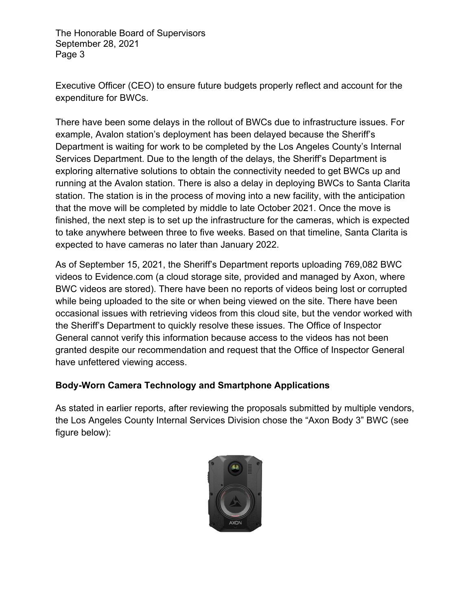Executive Officer (CEO) to ensure future budgets properly reflect and account for the expenditure for BWCs.

There have been some delays in the rollout of BWCs due to infrastructure issues. For example, Avalon station's deployment has been delayed because the Sheriff's Department is waiting for work to be completed by the Los Angeles County's Internal Services Department. Due to the length of the delays, the Sheriff's Department is exploring alternative solutions to obtain the connectivity needed to get BWCs up and running at the Avalon station. There is also a delay in deploying BWCs to Santa Clarita station. The station is in the process of moving into a new facility, with the anticipation that the move will be completed by middle to late October 2021. Once the move is finished, the next step is to set up the infrastructure for the cameras, which is expected to take anywhere between three to five weeks. Based on that timeline, Santa Clarita is expected to have cameras no later than January 2022.

As of September 15, 2021, the Sheriff's Department reports uploading 769,082 BWC videos to Evidence.com (a cloud storage site, provided and managed by Axon, where BWC videos are stored). There have been no reports of videos being lost or corrupted while being uploaded to the site or when being viewed on the site. There have been occasional issues with retrieving videos from this cloud site, but the vendor worked with the Sheriff's Department to quickly resolve these issues. The Office of Inspector General cannot verify this information because access to the videos has not been granted despite our recommendation and request that the Office of Inspector General have unfettered viewing access.

## **Body-Worn Camera Technology and Smartphone Applications**

As stated in earlier reports, after reviewing the proposals submitted by multiple vendors, the Los Angeles County Internal Services Division chose the "Axon Body 3" BWC (see figure below):

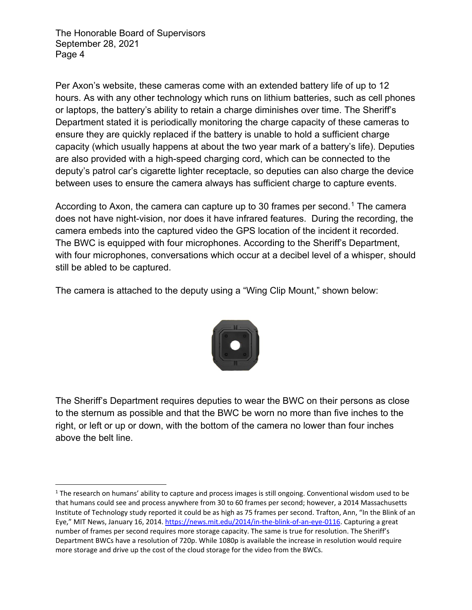Per Axon's website, these cameras come with an extended battery life of up to 12 hours. As with any other technology which runs on lithium batteries, such as cell phones or laptops, the battery's ability to retain a charge diminishes over time. The Sheriff's Department stated it is periodically monitoring the charge capacity of these cameras to ensure they are quickly replaced if the battery is unable to hold a sufficient charge capacity (which usually happens at about the two year mark of a battery's life). Deputies are also provided with a high-speed charging cord, which can be connected to the deputy's patrol car's cigarette lighter receptacle, so deputies can also charge the device between uses to ensure the camera always has sufficient charge to capture events.

According to Axon, the camera can capture up to 30 frames per second.<sup>[1](#page-3-0)</sup> The camera does not have night-vision, nor does it have infrared features. During the recording, the camera embeds into the captured video the GPS location of the incident it recorded. The BWC is equipped with four microphones. According to the Sheriff's Department, with four microphones, conversations which occur at a decibel level of a whisper, should still be abled to be captured.

The camera is attached to the deputy using a "Wing Clip Mount," shown below:



The Sheriff's Department requires deputies to wear the BWC on their persons as close to the sternum as possible and that the BWC be worn no more than five inches to the right, or left or up or down, with the bottom of the camera no lower than four inches above the belt line.

<span id="page-3-0"></span> $1$  The research on humans' ability to capture and process images is still ongoing. Conventional wisdom used to be that humans could see and process anywhere from 30 to 60 frames per second; however, a 2014 Massachusetts Institute of Technology study reported it could be as high as 75 frames per second. Trafton, Ann, "In the Blink of an Eye," MIT News, January 16, 2014[. https://news.mit.edu/2014/in-the-blink-of-an-eye-0116.](https://news.mit.edu/2014/in-the-blink-of-an-eye-0116) Capturing a great number of frames per second requires more storage capacity. The same is true for resolution. The Sheriff's Department BWCs have a resolution of 720p. While 1080p is available the increase in resolution would require more storage and drive up the cost of the cloud storage for the video from the BWCs.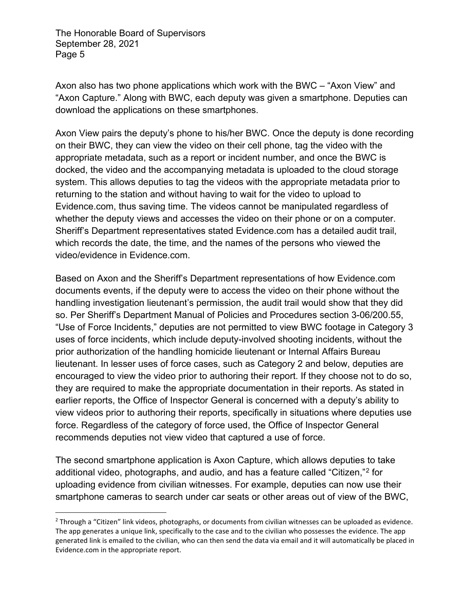Axon also has two phone applications which work with the BWC – "Axon View" and "Axon Capture." Along with BWC, each deputy was given a smartphone. Deputies can download the applications on these smartphones.

Axon View pairs the deputy's phone to his/her BWC. Once the deputy is done recording on their BWC, they can view the video on their cell phone, tag the video with the appropriate metadata, such as a report or incident number, and once the BWC is docked, the video and the accompanying metadata is uploaded to the cloud storage system. This allows deputies to tag the videos with the appropriate metadata prior to returning to the station and without having to wait for the video to upload to Evidence.com, thus saving time. The videos cannot be manipulated regardless of whether the deputy views and accesses the video on their phone or on a computer. Sheriff's Department representatives stated Evidence.com has a detailed audit trail, which records the date, the time, and the names of the persons who viewed the video/evidence in Evidence.com.

Based on Axon and the Sheriff's Department representations of how Evidence.com documents events, if the deputy were to access the video on their phone without the handling investigation lieutenant's permission, the audit trail would show that they did so. Per Sheriff's Department Manual of Policies and Procedures section 3-06/200.55, "Use of Force Incidents," deputies are not permitted to view BWC footage in Category 3 uses of force incidents, which include deputy-involved shooting incidents, without the prior authorization of the handling homicide lieutenant or Internal Affairs Bureau lieutenant. In lesser uses of force cases, such as Category 2 and below, deputies are encouraged to view the video prior to authoring their report. If they choose not to do so, they are required to make the appropriate documentation in their reports. As stated in earlier reports, the Office of Inspector General is concerned with a deputy's ability to view videos prior to authoring their reports, specifically in situations where deputies use force. Regardless of the category of force used, the Office of Inspector General recommends deputies not view video that captured a use of force.

The second smartphone application is Axon Capture, which allows deputies to take additional video, photographs, and audio, and has a feature called "Citizen,"[2](#page-4-0) for uploading evidence from civilian witnesses. For example, deputies can now use their smartphone cameras to search under car seats or other areas out of view of the BWC,

<span id="page-4-0"></span><sup>&</sup>lt;sup>2</sup> Through a "Citizen" link videos, photographs, or documents from civilian witnesses can be uploaded as evidence. The app generates a unique link, specifically to the case and to the civilian who possesses the evidence. The app generated link is emailed to the civilian, who can then send the data via email and it will automatically be placed in Evidence.com in the appropriate report.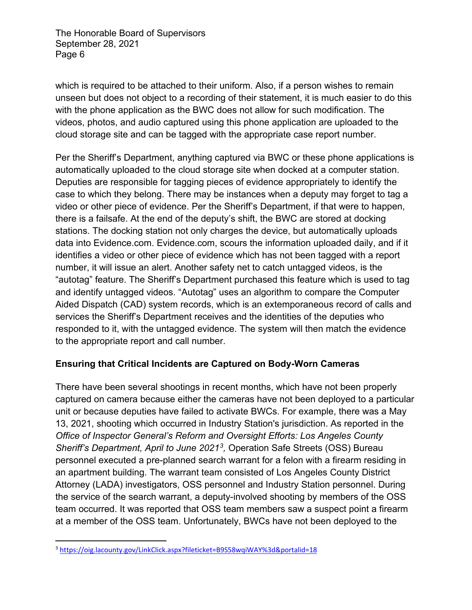which is required to be attached to their uniform. Also, if a person wishes to remain unseen but does not object to a recording of their statement, it is much easier to do this with the phone application as the BWC does not allow for such modification. The videos, photos, and audio captured using this phone application are uploaded to the cloud storage site and can be tagged with the appropriate case report number.

Per the Sheriff's Department, anything captured via BWC or these phone applications is automatically uploaded to the cloud storage site when docked at a computer station. Deputies are responsible for tagging pieces of evidence appropriately to identify the case to which they belong. There may be instances when a deputy may forget to tag a video or other piece of evidence. Per the Sheriff's Department, if that were to happen, there is a failsafe. At the end of the deputy's shift, the BWC are stored at docking stations. The docking station not only charges the device, but automatically uploads data into Evidence.com. Evidence.com, scours the information uploaded daily, and if it identifies a video or other piece of evidence which has not been tagged with a report number, it will issue an alert. Another safety net to catch untagged videos, is the "autotag" feature. The Sheriff's Department purchased this feature which is used to tag and identify untagged videos. "Autotag" uses an algorithm to compare the Computer Aided Dispatch (CAD) system records, which is an extemporaneous record of calls and services the Sheriff's Department receives and the identities of the deputies who responded to it, with the untagged evidence. The system will then match the evidence to the appropriate report and call number.

# **Ensuring that Critical Incidents are Captured on Body-Worn Cameras**

There have been several shootings in recent months, which have not been properly captured on camera because either the cameras have not been deployed to a particular unit or because deputies have failed to activate BWCs. For example, there was a May 13, 2021, shooting which occurred in Industry Station's jurisdiction. As reported in the *Office of Inspector General's Reform and Oversight Efforts: Los Angeles County Sheriff's Department, April to June 2021[3,](#page-5-0)* Operation Safe Streets (OSS) Bureau personnel executed a pre-planned search warrant for a felon with a firearm residing in an apartment building. The warrant team consisted of Los Angeles County District Attorney (LADA) investigators, OSS personnel and Industry Station personnel. During the service of the search warrant, a deputy-involved shooting by members of the OSS team occurred. It was reported that OSS team members saw a suspect point a firearm at a member of the OSS team. Unfortunately, BWCs have not been deployed to the

<span id="page-5-0"></span><sup>3</sup> https://oig.lacounty.gov/LinkClick.aspx?fileticket=B9S58wqiWAY%3d&portalid=18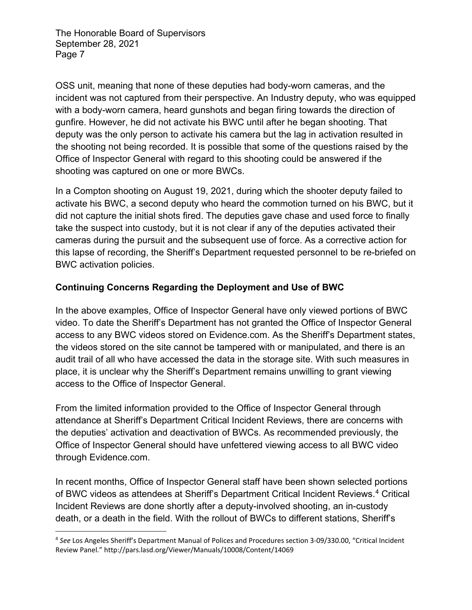OSS unit, meaning that none of these deputies had body-worn cameras, and the incident was not captured from their perspective. An Industry deputy, who was equipped with a body-worn camera, heard gunshots and began firing towards the direction of gunfire. However, he did not activate his BWC until after he began shooting. That deputy was the only person to activate his camera but the lag in activation resulted in the shooting not being recorded. It is possible that some of the questions raised by the Office of Inspector General with regard to this shooting could be answered if the shooting was captured on one or more BWCs.

In a Compton shooting on August 19, 2021, during which the shooter deputy failed to activate his BWC, a second deputy who heard the commotion turned on his BWC, but it did not capture the initial shots fired. The deputies gave chase and used force to finally take the suspect into custody, but it is not clear if any of the deputies activated their cameras during the pursuit and the subsequent use of force. As a corrective action for this lapse of recording, the Sheriff's Department requested personnel to be re-briefed on BWC activation policies.

# **Continuing Concerns Regarding the Deployment and Use of BWC**

In the above examples, Office of Inspector General have only viewed portions of BWC video. To date the Sheriff's Department has not granted the Office of Inspector General access to any BWC videos stored on Evidence.com. As the Sheriff's Department states, the videos stored on the site cannot be tampered with or manipulated, and there is an audit trail of all who have accessed the data in the storage site. With such measures in place, it is unclear why the Sheriff's Department remains unwilling to grant viewing access to the Office of Inspector General.

From the limited information provided to the Office of Inspector General through attendance at Sheriff's Department Critical Incident Reviews, there are concerns with the deputies' activation and deactivation of BWCs. As recommended previously, the Office of Inspector General should have unfettered viewing access to all BWC video through Evidence.com.

In recent months, Office of Inspector General staff have been shown selected portions of BWC videos as attendees at Sheriff's Department Critical Incident Reviews. [4](#page-6-0) Critical Incident Reviews are done shortly after a deputy-involved shooting, an in-custody death, or a death in the field. With the rollout of BWCs to different stations, Sheriff's

<span id="page-6-0"></span><sup>4</sup> *See* Los Angeles Sheriff's Department Manual of Polices and Procedures section 3-09/330.00, "Critical Incident Review Panel." http://pars.lasd.org/Viewer/Manuals/10008/Content/14069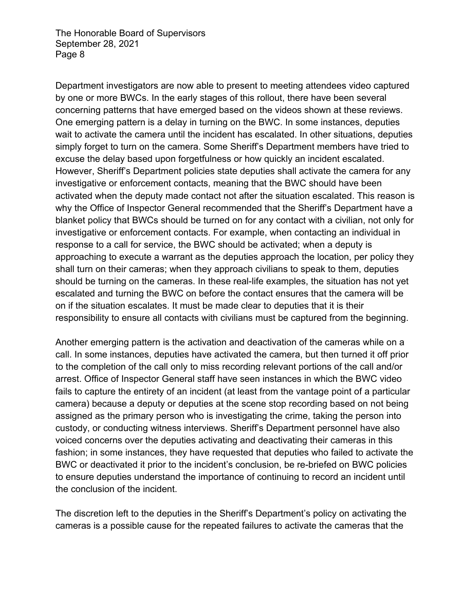Department investigators are now able to present to meeting attendees video captured by one or more BWCs. In the early stages of this rollout, there have been several concerning patterns that have emerged based on the videos shown at these reviews. One emerging pattern is a delay in turning on the BWC. In some instances, deputies wait to activate the camera until the incident has escalated. In other situations, deputies simply forget to turn on the camera. Some Sheriff's Department members have tried to excuse the delay based upon forgetfulness or how quickly an incident escalated. However, Sheriff's Department policies state deputies shall activate the camera for any investigative or enforcement contacts, meaning that the BWC should have been activated when the deputy made contact not after the situation escalated. This reason is why the Office of Inspector General recommended that the Sheriff's Department have a blanket policy that BWCs should be turned on for any contact with a civilian, not only for investigative or enforcement contacts. For example, when contacting an individual in response to a call for service, the BWC should be activated; when a deputy is approaching to execute a warrant as the deputies approach the location, per policy they shall turn on their cameras; when they approach civilians to speak to them, deputies should be turning on the cameras. In these real-life examples, the situation has not yet escalated and turning the BWC on before the contact ensures that the camera will be on if the situation escalates. It must be made clear to deputies that it is their responsibility to ensure all contacts with civilians must be captured from the beginning.

Another emerging pattern is the activation and deactivation of the cameras while on a call. In some instances, deputies have activated the camera, but then turned it off prior to the completion of the call only to miss recording relevant portions of the call and/or arrest. Office of Inspector General staff have seen instances in which the BWC video fails to capture the entirety of an incident (at least from the vantage point of a particular camera) because a deputy or deputies at the scene stop recording based on not being assigned as the primary person who is investigating the crime, taking the person into custody, or conducting witness interviews. Sheriff's Department personnel have also voiced concerns over the deputies activating and deactivating their cameras in this fashion; in some instances, they have requested that deputies who failed to activate the BWC or deactivated it prior to the incident's conclusion, be re-briefed on BWC policies to ensure deputies understand the importance of continuing to record an incident until the conclusion of the incident.

The discretion left to the deputies in the Sheriff's Department's policy on activating the cameras is a possible cause for the repeated failures to activate the cameras that the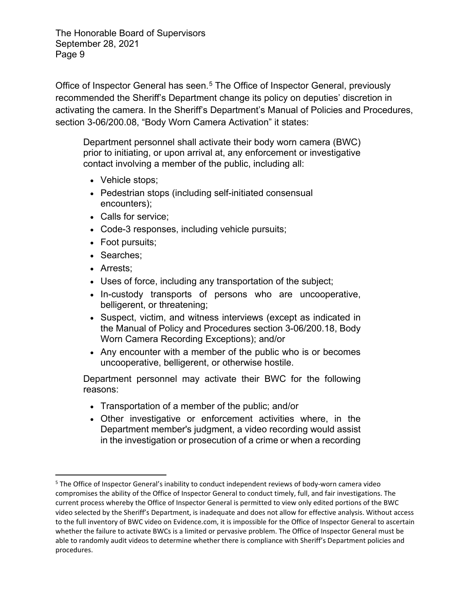Office of Inspector General has seen.<sup>[5](#page-8-0)</sup> The Office of Inspector General, previously recommended the Sheriff's Department change its policy on deputies' discretion in activating the camera. In the Sheriff's Department's Manual of Policies and Procedures, section 3-06/200.08, "Body Worn Camera Activation" it states:

Department personnel shall activate their body worn camera (BWC) prior to initiating, or upon arrival at, any enforcement or investigative contact involving a member of the public, including all:

- Vehicle stops;
- Pedestrian stops (including self-initiated consensual encounters);
- Calls for service;
- Code-3 responses, including vehicle pursuits;
- Foot pursuits;
- Searches;
- Arrests;
- Uses of force, including any transportation of the subject;
- In-custody transports of persons who are uncooperative, belligerent, or threatening;
- Suspect, victim, and witness interviews (except as indicated in the Manual of Policy and Procedures section 3-06/200.18, Body Worn Camera Recording Exceptions); and/or
- Any encounter with a member of the public who is or becomes uncooperative, belligerent, or otherwise hostile.

Department personnel may activate their BWC for the following reasons:

- Transportation of a member of the public; and/or
- Other investigative or enforcement activities where, in the Department member's judgment, a video recording would assist in the investigation or prosecution of a crime or when a recording

<span id="page-8-0"></span><sup>5</sup> The Office of Inspector General's inability to conduct independent reviews of body-worn camera video compromises the ability of the Office of Inspector General to conduct timely, full, and fair investigations. The current process whereby the Office of Inspector General is permitted to view only edited portions of the BWC video selected by the Sheriff's Department, is inadequate and does not allow for effective analysis. Without access to the full inventory of BWC video on Evidence.com, it is impossible for the Office of Inspector General to ascertain whether the failure to activate BWCs is a limited or pervasive problem. The Office of Inspector General must be able to randomly audit videos to determine whether there is compliance with Sheriff's Department policies and procedures.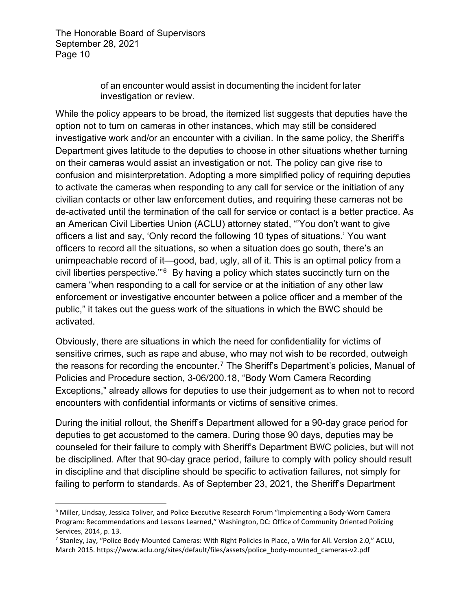> of an encounter would assist in documenting the incident for later investigation or review.

While the policy appears to be broad, the itemized list suggests that deputies have the option not to turn on cameras in other instances, which may still be considered investigative work and/or an encounter with a civilian. In the same policy, the Sheriff's Department gives latitude to the deputies to choose in other situations whether turning on their cameras would assist an investigation or not. The policy can give rise to confusion and misinterpretation. Adopting a more simplified policy of requiring deputies to activate the cameras when responding to any call for service or the initiation of any civilian contacts or other law enforcement duties, and requiring these cameras not be de-activated until the termination of the call for service or contact is a better practice. As an American Civil Liberties Union (ACLU) attorney stated, "'You don't want to give officers a list and say, 'Only record the following 10 types of situations.' You want officers to record all the situations, so when a situation does go south, there's an unimpeachable record of it—good, bad, ugly, all of it. This is an optimal policy from a civil liberties perspective.'"[6](#page-9-0) By having a policy which states succinctly turn on the camera "when responding to a call for service or at the initiation of any other law enforcement or investigative encounter between a police officer and a member of the public," it takes out the guess work of the situations in which the BWC should be activated.

Obviously, there are situations in which the need for confidentiality for victims of sensitive crimes, such as rape and abuse, who may not wish to be recorded, outweigh the reasons for recording the encounter. [7](#page-9-1) The Sheriff's Department's policies, Manual of Policies and Procedure section, 3-06/200.18, "Body Worn Camera Recording Exceptions," already allows for deputies to use their judgement as to when not to record encounters with confidential informants or victims of sensitive crimes.

During the initial rollout, the Sheriff's Department allowed for a 90-day grace period for deputies to get accustomed to the camera. During those 90 days, deputies may be counseled for their failure to comply with Sheriff's Department BWC policies, but will not be disciplined. After that 90-day grace period, failure to comply with policy should result in discipline and that discipline should be specific to activation failures, not simply for failing to perform to standards. As of September 23, 2021, the Sheriff's Department

<span id="page-9-0"></span><sup>6</sup> Miller, Lindsay, Jessica Toliver, and Police Executive Research Forum "Implementing a Body-Worn Camera Program: Recommendations and Lessons Learned," Washington, DC: Office of Community Oriented Policing Services, 2014, p. 13.

<span id="page-9-1"></span><sup>7</sup> Stanley, Jay, "Police Body-Mounted Cameras: With Right Policies in Place, a Win for All. Version 2.0," ACLU, March 2015. https://www.aclu.org/sites/default/files/assets/police\_body-mounted\_cameras-v2.pdf